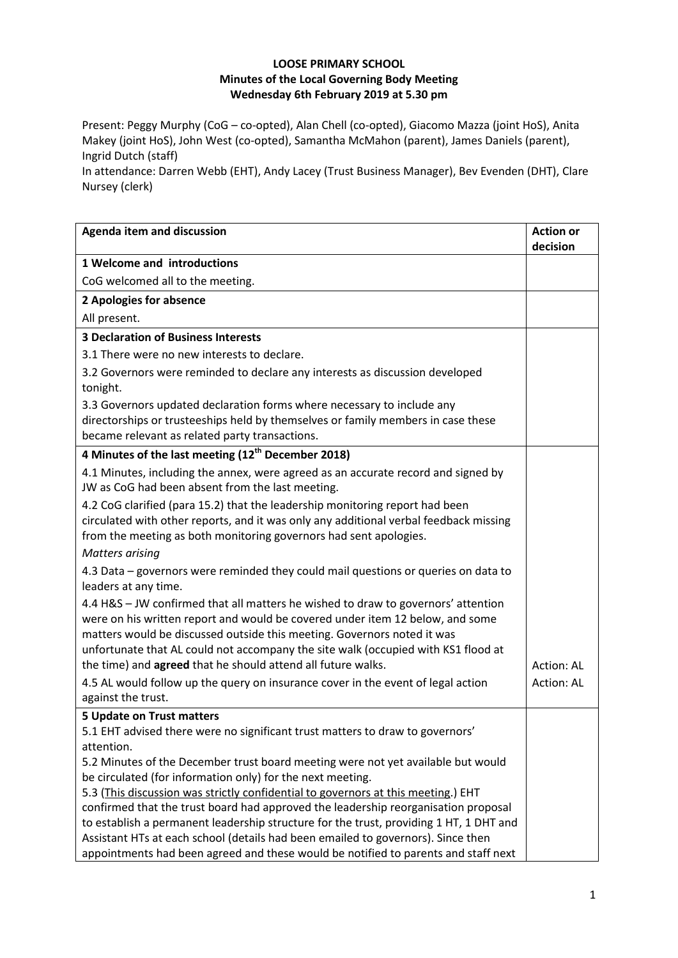## **LOOSE PRIMARY SCHOOL Minutes of the Local Governing Body Meeting Wednesday 6th February 2019 at 5.30 pm**

Present: Peggy Murphy (CoG – co-opted), Alan Chell (co-opted), Giacomo Mazza (joint HoS), Anita Makey (joint HoS), John West (co-opted), Samantha McMahon (parent), James Daniels (parent), Ingrid Dutch (staff)

In attendance: Darren Webb (EHT), Andy Lacey (Trust Business Manager), Bev Evenden (DHT), Clare Nursey (clerk)

| <b>Agenda item and discussion</b>                                                                                                                                                                                                                                                                                                                                                                  | <b>Action or</b><br>decision |
|----------------------------------------------------------------------------------------------------------------------------------------------------------------------------------------------------------------------------------------------------------------------------------------------------------------------------------------------------------------------------------------------------|------------------------------|
| 1 Welcome and introductions                                                                                                                                                                                                                                                                                                                                                                        |                              |
| CoG welcomed all to the meeting.                                                                                                                                                                                                                                                                                                                                                                   |                              |
| 2 Apologies for absence                                                                                                                                                                                                                                                                                                                                                                            |                              |
| All present.                                                                                                                                                                                                                                                                                                                                                                                       |                              |
| <b>3 Declaration of Business Interests</b>                                                                                                                                                                                                                                                                                                                                                         |                              |
| 3.1 There were no new interests to declare.                                                                                                                                                                                                                                                                                                                                                        |                              |
| 3.2 Governors were reminded to declare any interests as discussion developed<br>tonight.                                                                                                                                                                                                                                                                                                           |                              |
| 3.3 Governors updated declaration forms where necessary to include any                                                                                                                                                                                                                                                                                                                             |                              |
| directorships or trusteeships held by themselves or family members in case these<br>became relevant as related party transactions.                                                                                                                                                                                                                                                                 |                              |
| 4 Minutes of the last meeting (12 <sup>th</sup> December 2018)                                                                                                                                                                                                                                                                                                                                     |                              |
| 4.1 Minutes, including the annex, were agreed as an accurate record and signed by<br>JW as CoG had been absent from the last meeting.                                                                                                                                                                                                                                                              |                              |
| 4.2 CoG clarified (para 15.2) that the leadership monitoring report had been<br>circulated with other reports, and it was only any additional verbal feedback missing<br>from the meeting as both monitoring governors had sent apologies.                                                                                                                                                         |                              |
| <b>Matters arising</b>                                                                                                                                                                                                                                                                                                                                                                             |                              |
| 4.3 Data - governors were reminded they could mail questions or queries on data to<br>leaders at any time.                                                                                                                                                                                                                                                                                         |                              |
| 4.4 H&S - JW confirmed that all matters he wished to draw to governors' attention<br>were on his written report and would be covered under item 12 below, and some<br>matters would be discussed outside this meeting. Governors noted it was<br>unfortunate that AL could not accompany the site walk (occupied with KS1 flood at<br>the time) and agreed that he should attend all future walks. | Action: AL                   |
| 4.5 AL would follow up the query on insurance cover in the event of legal action                                                                                                                                                                                                                                                                                                                   | Action: AL                   |
| against the trust.                                                                                                                                                                                                                                                                                                                                                                                 |                              |
| 5 Update on Trust matters                                                                                                                                                                                                                                                                                                                                                                          |                              |
| 5.1 EHT advised there were no significant trust matters to draw to governors'                                                                                                                                                                                                                                                                                                                      |                              |
| attention.                                                                                                                                                                                                                                                                                                                                                                                         |                              |
| 5.2 Minutes of the December trust board meeting were not yet available but would<br>be circulated (for information only) for the next meeting.                                                                                                                                                                                                                                                     |                              |
| 5.3 (This discussion was strictly confidential to governors at this meeting.) EHT                                                                                                                                                                                                                                                                                                                  |                              |
| confirmed that the trust board had approved the leadership reorganisation proposal                                                                                                                                                                                                                                                                                                                 |                              |
| to establish a permanent leadership structure for the trust, providing 1 HT, 1 DHT and<br>Assistant HTs at each school (details had been emailed to governors). Since then<br>appointments had been agreed and these would be notified to parents and staff next                                                                                                                                   |                              |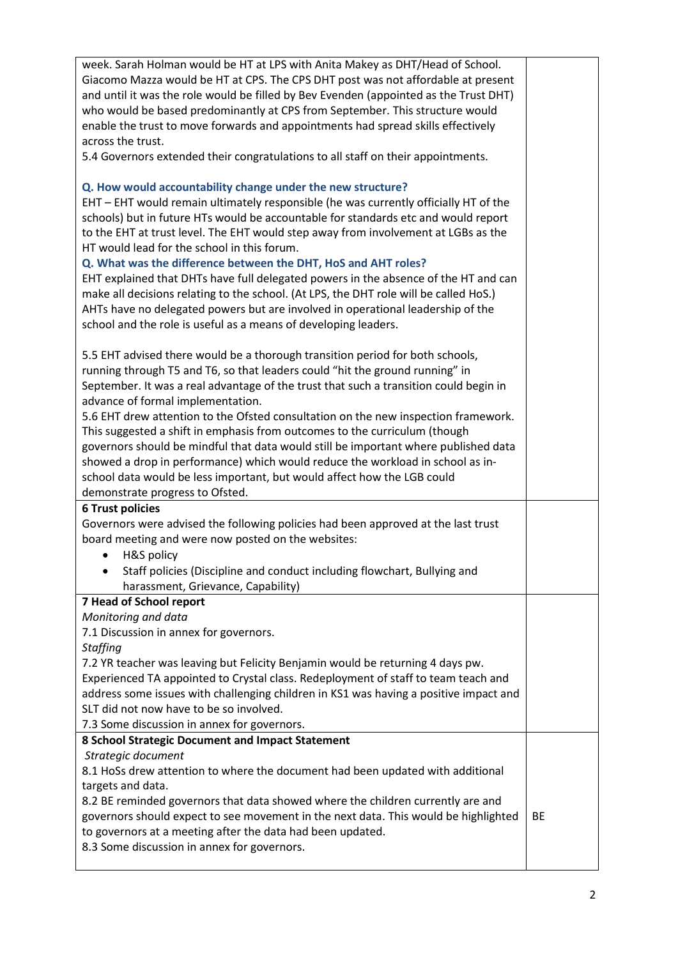| week. Sarah Holman would be HT at LPS with Anita Makey as DHT/Head of School.         |    |
|---------------------------------------------------------------------------------------|----|
| Giacomo Mazza would be HT at CPS. The CPS DHT post was not affordable at present      |    |
| and until it was the role would be filled by Bev Evenden (appointed as the Trust DHT) |    |
| who would be based predominantly at CPS from September. This structure would          |    |
| enable the trust to move forwards and appointments had spread skills effectively      |    |
| across the trust.                                                                     |    |
| 5.4 Governors extended their congratulations to all staff on their appointments.      |    |
|                                                                                       |    |
|                                                                                       |    |
| Q. How would accountability change under the new structure?                           |    |
| EHT - EHT would remain ultimately responsible (he was currently officially HT of the  |    |
| schools) but in future HTs would be accountable for standards etc and would report    |    |
| to the EHT at trust level. The EHT would step away from involvement at LGBs as the    |    |
| HT would lead for the school in this forum.                                           |    |
| Q. What was the difference between the DHT, HoS and AHT roles?                        |    |
| EHT explained that DHTs have full delegated powers in the absence of the HT and can   |    |
| make all decisions relating to the school. (At LPS, the DHT role will be called HoS.) |    |
| AHTs have no delegated powers but are involved in operational leadership of the       |    |
| school and the role is useful as a means of developing leaders.                       |    |
|                                                                                       |    |
| 5.5 EHT advised there would be a thorough transition period for both schools,         |    |
| running through T5 and T6, so that leaders could "hit the ground running" in          |    |
| September. It was a real advantage of the trust that such a transition could begin in |    |
| advance of formal implementation.                                                     |    |
| 5.6 EHT drew attention to the Ofsted consultation on the new inspection framework.    |    |
| This suggested a shift in emphasis from outcomes to the curriculum (though            |    |
| governors should be mindful that data would still be important where published data   |    |
| showed a drop in performance) which would reduce the workload in school as in-        |    |
| school data would be less important, but would affect how the LGB could               |    |
| demonstrate progress to Ofsted.                                                       |    |
| <b>6 Trust policies</b>                                                               |    |
| Governors were advised the following policies had been approved at the last trust     |    |
| board meeting and were now posted on the websites:                                    |    |
| H&S policy<br>٠                                                                       |    |
| Staff policies (Discipline and conduct including flowchart, Bullying and              |    |
| harassment, Grievance, Capability)                                                    |    |
| 7 Head of School report                                                               |    |
| Monitoring and data                                                                   |    |
| 7.1 Discussion in annex for governors.                                                |    |
| <b>Staffing</b>                                                                       |    |
|                                                                                       |    |
| 7.2 YR teacher was leaving but Felicity Benjamin would be returning 4 days pw.        |    |
| Experienced TA appointed to Crystal class. Redeployment of staff to team teach and    |    |
| address some issues with challenging children in KS1 was having a positive impact and |    |
| SLT did not now have to be so involved.                                               |    |
| 7.3 Some discussion in annex for governors.                                           |    |
| 8 School Strategic Document and Impact Statement                                      |    |
| Strategic document                                                                    |    |
| 8.1 HoSs drew attention to where the document had been updated with additional        |    |
| targets and data.                                                                     |    |
| 8.2 BE reminded governors that data showed where the children currently are and       |    |
| governors should expect to see movement in the next data. This would be highlighted   | BE |
| to governors at a meeting after the data had been updated.                            |    |
| 8.3 Some discussion in annex for governors.                                           |    |
|                                                                                       |    |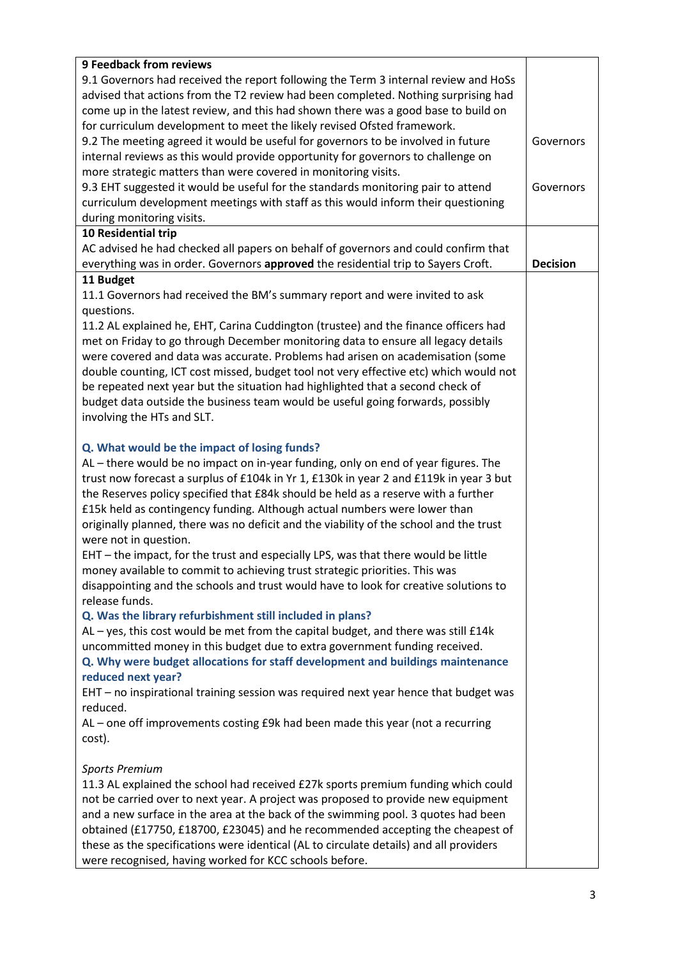| <b>9 Feedback from reviews</b>                                                         |                 |
|----------------------------------------------------------------------------------------|-----------------|
| 9.1 Governors had received the report following the Term 3 internal review and HoSs    |                 |
| advised that actions from the T2 review had been completed. Nothing surprising had     |                 |
| come up in the latest review, and this had shown there was a good base to build on     |                 |
| for curriculum development to meet the likely revised Ofsted framework.                |                 |
| 9.2 The meeting agreed it would be useful for governors to be involved in future       | Governors       |
| internal reviews as this would provide opportunity for governors to challenge on       |                 |
| more strategic matters than were covered in monitoring visits.                         |                 |
| 9.3 EHT suggested it would be useful for the standards monitoring pair to attend       | Governors       |
| curriculum development meetings with staff as this would inform their questioning      |                 |
| during monitoring visits.                                                              |                 |
| 10 Residential trip                                                                    |                 |
| AC advised he had checked all papers on behalf of governors and could confirm that     |                 |
| everything was in order. Governors approved the residential trip to Sayers Croft.      | <b>Decision</b> |
| 11 Budget                                                                              |                 |
| 11.1 Governors had received the BM's summary report and were invited to ask            |                 |
| questions.                                                                             |                 |
| 11.2 AL explained he, EHT, Carina Cuddington (trustee) and the finance officers had    |                 |
|                                                                                        |                 |
| met on Friday to go through December monitoring data to ensure all legacy details      |                 |
| were covered and data was accurate. Problems had arisen on academisation (some         |                 |
| double counting, ICT cost missed, budget tool not very effective etc) which would not  |                 |
| be repeated next year but the situation had highlighted that a second check of         |                 |
| budget data outside the business team would be useful going forwards, possibly         |                 |
| involving the HTs and SLT.                                                             |                 |
|                                                                                        |                 |
| Q. What would be the impact of losing funds?                                           |                 |
| AL - there would be no impact on in-year funding, only on end of year figures. The     |                 |
| trust now forecast a surplus of £104k in Yr 1, £130k in year 2 and £119k in year 3 but |                 |
| the Reserves policy specified that £84k should be held as a reserve with a further     |                 |
| £15k held as contingency funding. Although actual numbers were lower than              |                 |
| originally planned, there was no deficit and the viability of the school and the trust |                 |
| were not in question.                                                                  |                 |
| EHT - the impact, for the trust and especially LPS, was that there would be little     |                 |
| money available to commit to achieving trust strategic priorities. This was            |                 |
| disappointing and the schools and trust would have to look for creative solutions to   |                 |
| release funds.                                                                         |                 |
| Q. Was the library refurbishment still included in plans?                              |                 |
| AL - yes, this cost would be met from the capital budget, and there was still £14k     |                 |
| uncommitted money in this budget due to extra government funding received.             |                 |
| Q. Why were budget allocations for staff development and buildings maintenance         |                 |
| reduced next year?                                                                     |                 |
| EHT - no inspirational training session was required next year hence that budget was   |                 |
| reduced.                                                                               |                 |
| AL - one off improvements costing £9k had been made this year (not a recurring         |                 |
| cost).                                                                                 |                 |
|                                                                                        |                 |
| <b>Sports Premium</b>                                                                  |                 |
| 11.3 AL explained the school had received £27k sports premium funding which could      |                 |
| not be carried over to next year. A project was proposed to provide new equipment      |                 |
| and a new surface in the area at the back of the swimming pool. 3 quotes had been      |                 |
| obtained (£17750, £18700, £23045) and he recommended accepting the cheapest of         |                 |
| these as the specifications were identical (AL to circulate details) and all providers |                 |
| were recognised, having worked for KCC schools before.                                 |                 |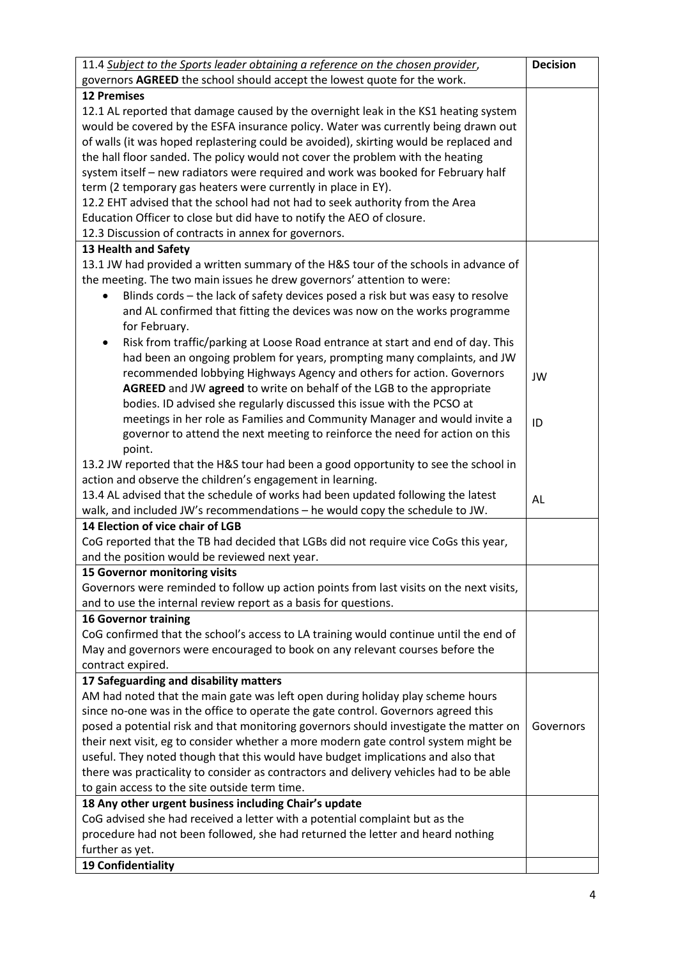| 11.4 Subject to the Sports leader obtaining a reference on the chosen provider,         | <b>Decision</b> |
|-----------------------------------------------------------------------------------------|-----------------|
| governors AGREED the school should accept the lowest quote for the work.                |                 |
| <b>12 Premises</b>                                                                      |                 |
| 12.1 AL reported that damage caused by the overnight leak in the KS1 heating system     |                 |
| would be covered by the ESFA insurance policy. Water was currently being drawn out      |                 |
| of walls (it was hoped replastering could be avoided), skirting would be replaced and   |                 |
| the hall floor sanded. The policy would not cover the problem with the heating          |                 |
| system itself - new radiators were required and work was booked for February half       |                 |
| term (2 temporary gas heaters were currently in place in EY).                           |                 |
| 12.2 EHT advised that the school had not had to seek authority from the Area            |                 |
| Education Officer to close but did have to notify the AEO of closure.                   |                 |
| 12.3 Discussion of contracts in annex for governors.                                    |                 |
| 13 Health and Safety                                                                    |                 |
| 13.1 JW had provided a written summary of the H&S tour of the schools in advance of     |                 |
| the meeting. The two main issues he drew governors' attention to were:                  |                 |
| Blinds cords - the lack of safety devices posed a risk but was easy to resolve          |                 |
| and AL confirmed that fitting the devices was now on the works programme                |                 |
| for February.                                                                           |                 |
| Risk from traffic/parking at Loose Road entrance at start and end of day. This          |                 |
| had been an ongoing problem for years, prompting many complaints, and JW                |                 |
| recommended lobbying Highways Agency and others for action. Governors                   |                 |
| AGREED and JW agreed to write on behalf of the LGB to the appropriate                   | JW              |
| bodies. ID advised she regularly discussed this issue with the PCSO at                  |                 |
| meetings in her role as Families and Community Manager and would invite a               |                 |
| governor to attend the next meeting to reinforce the need for action on this            | ID              |
| point.                                                                                  |                 |
| 13.2 JW reported that the H&S tour had been a good opportunity to see the school in     |                 |
| action and observe the children's engagement in learning.                               |                 |
| 13.4 AL advised that the schedule of works had been updated following the latest        | AL              |
| walk, and included JW's recommendations - he would copy the schedule to JW.             |                 |
| 14 Election of vice chair of LGB                                                        |                 |
| CoG reported that the TB had decided that LGBs did not require vice CoGs this year,     |                 |
| and the position would be reviewed next year.                                           |                 |
| 15 Governor monitoring visits                                                           |                 |
| Governors were reminded to follow up action points from last visits on the next visits, |                 |
| and to use the internal review report as a basis for questions.                         |                 |
| <b>16 Governor training</b>                                                             |                 |
| CoG confirmed that the school's access to LA training would continue until the end of   |                 |
| May and governors were encouraged to book on any relevant courses before the            |                 |
| contract expired.                                                                       |                 |
| 17 Safeguarding and disability matters                                                  |                 |
| AM had noted that the main gate was left open during holiday play scheme hours          |                 |
| since no-one was in the office to operate the gate control. Governors agreed this       |                 |
| posed a potential risk and that monitoring governors should investigate the matter on   | Governors       |
| their next visit, eg to consider whether a more modern gate control system might be     |                 |
| useful. They noted though that this would have budget implications and also that        |                 |
| there was practicality to consider as contractors and delivery vehicles had to be able  |                 |
| to gain access to the site outside term time.                                           |                 |
| 18 Any other urgent business including Chair's update                                   |                 |
| CoG advised she had received a letter with a potential complaint but as the             |                 |
| procedure had not been followed, she had returned the letter and heard nothing          |                 |
| further as yet.                                                                         |                 |
| 19 Confidentiality                                                                      |                 |
|                                                                                         |                 |